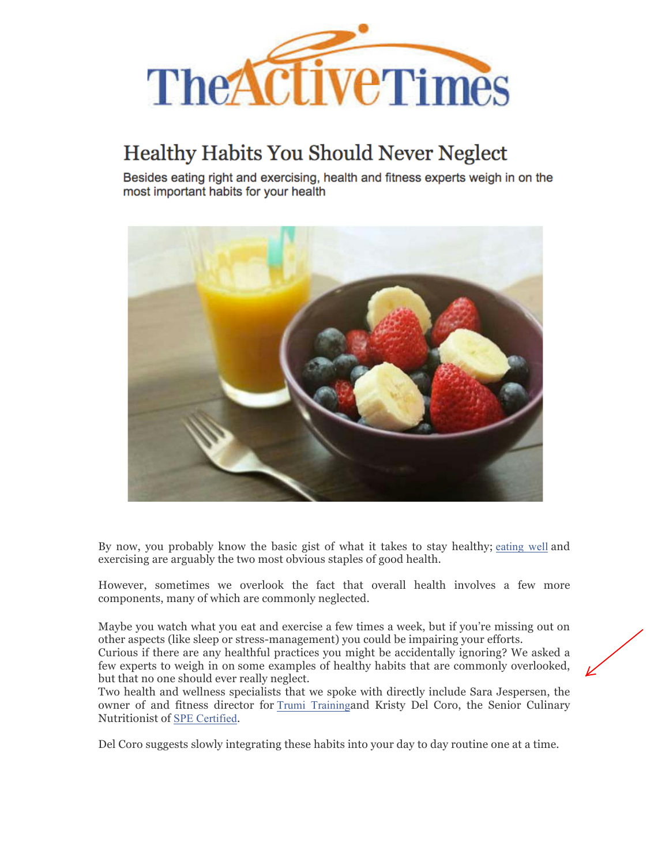

## **Healthy Habits You Should Never Neglect**

Besides eating right and exercising, health and fitness experts weigh in on the most important habits for your health



By now, you probably know the basic gist of what it takes to stay healthy; eating well and exercising are arguably the two most obvious staples of good health.

However, sometimes we overlook the fact that overall health involves a few more components, many of which are commonly neglected.

Maybe you watch what you eat and exercise a few times a week, but if you're missing out on other aspects (like sleep or stress-management) you could be impairing your efforts.

Curious if there are any healthful practices you might be accidentally ignoring? We asked a few experts to weigh in on some examples of healthy habits that are commonly overlooked, but that no one should ever really neglect.

Two health and wellness specialists that we spoke with directly include Sara Jespersen, the owner of and fitness director for Trumi Trainingand Kristy Del Coro, the Senior Culinary Nutritionist of SPE Certified.

Del Coro suggests slowly integrating these habits into your day to day routine one at a time.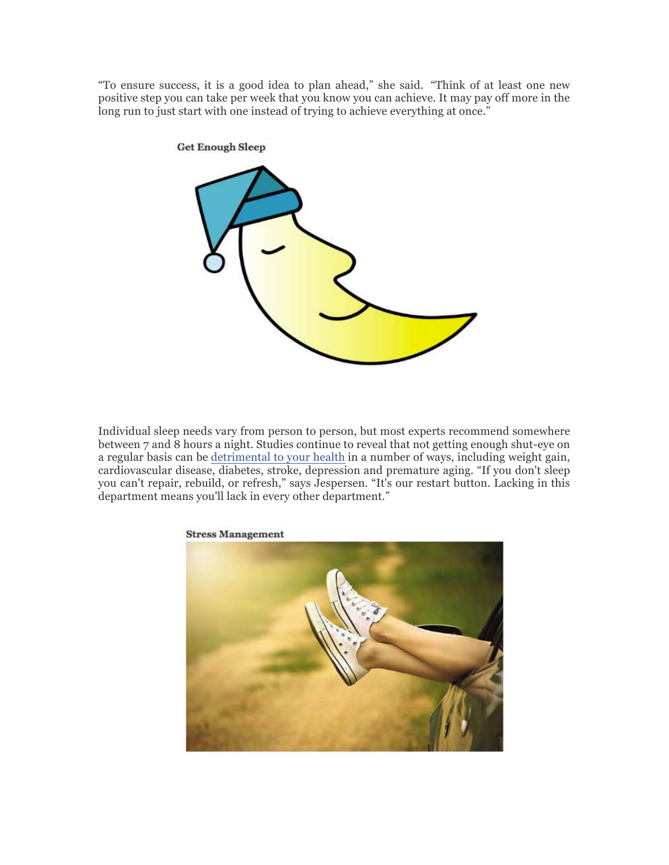"To ensure success, it is a good idea to plan ahead," she said. "Think of at least one new positive step you can take per week that you know you can achieve. It may pay off more in the long run to just start with one instead of trying to achieve everything at once."



Individual sleep needs vary from person to person, but most experts recommend somewhere between 7 and 8 hours a night. Studies continue to reveal that not getting enough shut-eye on a regular basis can be detrimental to your health in a number of ways, including weight gain, cardiovascular disease, diabetes, stroke, depression and premature aging. "If you don't sleep you can't repair, rebuild, or refresh," says Jespersen. "It's our restart button. Lacking in this department means you'll lack in every other department."



**Stress Management**